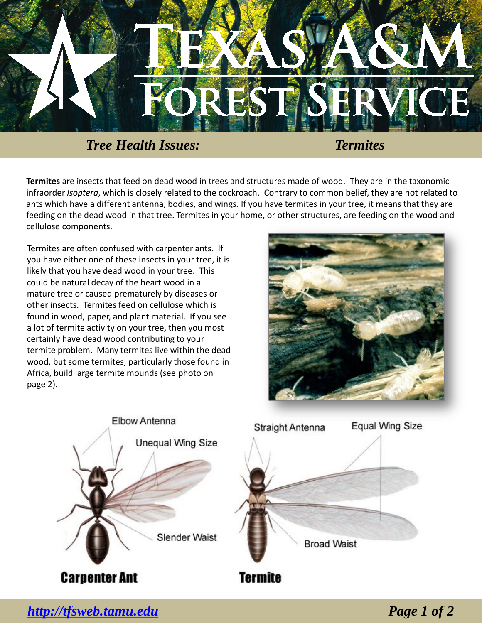

*Tree Health Issues: Termites*

**Termites** are insects that feed on dead wood in trees and structures made of wood. They are in the taxonomic infraorder *Isoptera*, which is closely related to the cockroach. Contrary to common belief, they are not related to ants which have a different antenna, bodies, and wings. If you have termites in your tree, it means that they are feeding on the dead wood in that tree. Termites in your home, or other structures, are feeding on the wood and cellulose components.

Termites are often confused with carpenter ants. If you have either one of these insects in your tree, it is likely that you have dead wood in your tree. This could be natural decay of the heart wood in a mature tree or caused prematurely by diseases or other insects. Termites feed on cellulose which is found in wood, paper, and plant material. If you see a lot of termite activity on your tree, then you most certainly have dead wood contributing to your termite problem. Many termites live within the dead wood, but some termites, particularly those found in Africa, build large termite mounds (see photo on page 2).





*<http://tfsweb.tamu.edu> Page 1 of 2*